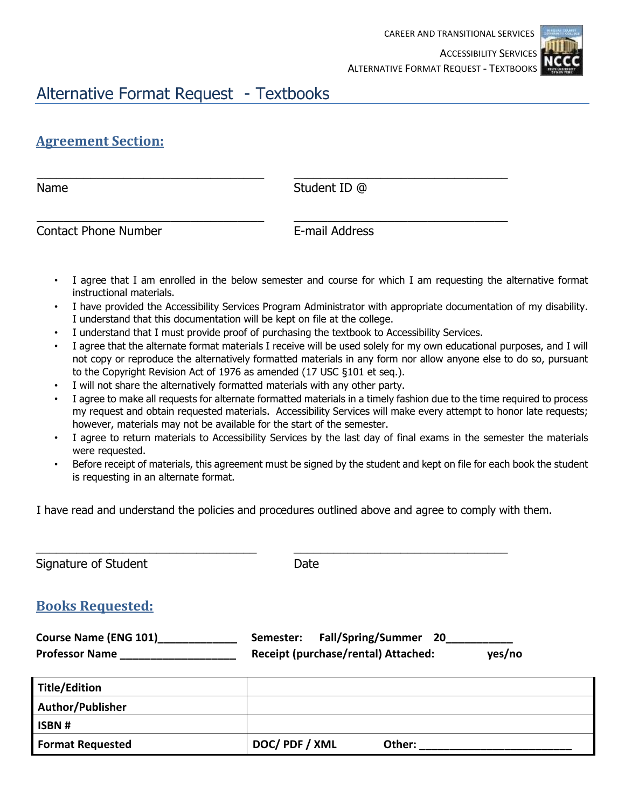

## Alternative Format Request - Textbooks

## **Agreement Section:**

\_\_\_\_\_\_\_\_\_\_\_\_\_\_\_\_\_\_\_\_\_\_\_\_\_\_\_\_\_\_\_\_\_\_ \_\_\_\_\_\_\_\_\_\_\_\_\_\_\_\_\_\_\_\_\_\_\_\_\_\_\_\_\_\_\_\_ Name Student ID @

\_\_\_\_\_\_\_\_\_\_\_\_\_\_\_\_\_\_\_\_\_\_\_\_\_\_\_\_\_\_\_\_\_\_ \_\_\_\_\_\_\_\_\_\_\_\_\_\_\_\_\_\_\_\_\_\_\_\_\_\_\_\_\_\_\_\_ Contact Phone Number E-mail Address

- I agree that I am enrolled in the below semester and course for which I am requesting the alternative format instructional materials.
- I have provided the Accessibility Services Program Administrator with appropriate documentation of my disability. I understand that this documentation will be kept on file at the college.
- I understand that I must provide proof of purchasing the textbook to Accessibility Services.
- I agree that the alternate format materials I receive will be used solely for my own educational purposes, and I will not copy or reproduce the alternatively formatted materials in any form nor allow anyone else to do so, pursuant to the Copyright Revision Act of 1976 as amended (17 USC §101 et seq.).
- I will not share the alternatively formatted materials with any other party.
- I agree to make all requests for alternate formatted materials in a timely fashion due to the time required to process my request and obtain requested materials. Accessibility Services will make every attempt to honor late requests; however, materials may not be available for the start of the semester.
- I agree to return materials to Accessibility Services by the last day of final exams in the semester the materials were requested.
- Before receipt of materials, this agreement must be signed by the student and kept on file for each book the student is requesting in an alternate format.

I have read and understand the policies and procedures outlined above and agree to comply with them.

| Signature of Student                                  | Date                                                                                |  |  |
|-------------------------------------------------------|-------------------------------------------------------------------------------------|--|--|
| <b>Books Requested:</b>                               |                                                                                     |  |  |
| <b>Course Name (ENG 101)</b><br><b>Professor Name</b> | Fall/Spring/Summer 20<br>Semester:<br>Receipt (purchase/rental) Attached:<br>yes/no |  |  |
| <b>Title/Edition</b>                                  |                                                                                     |  |  |
| Author/Publisher                                      |                                                                                     |  |  |
| ISBN#                                                 |                                                                                     |  |  |
| <b>Format Requested</b>                               | DOC/PDF/XML<br>Other:                                                               |  |  |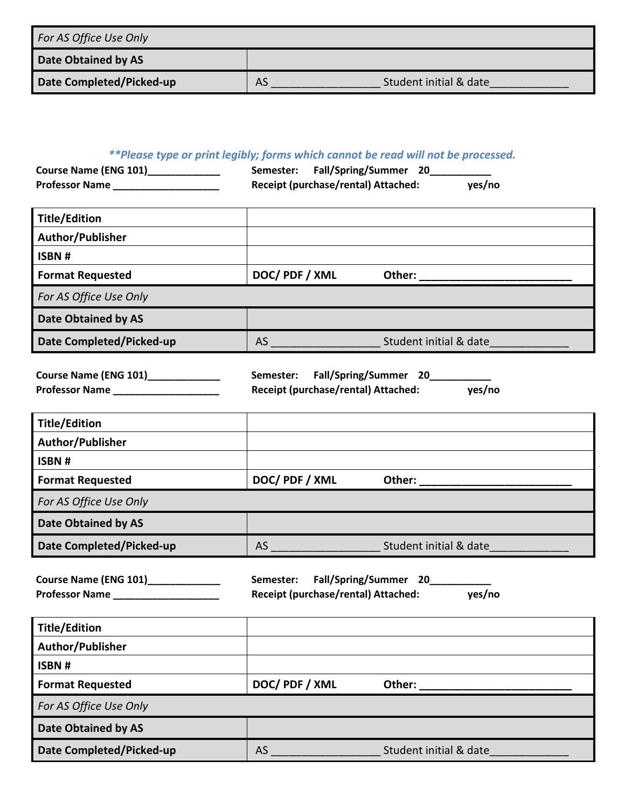| For AS Office Use Only   |                              |
|--------------------------|------------------------------|
| Date Obtained by AS      |                              |
| Date Completed/Picked-up | Student initial & date<br>AS |

## *\*\*Please type or print legibly; forms which cannot be read will not be processed.*

| <b>Course Name (ENG 101)</b> | Semester: Fall/Spring/Summer 20     |        |
|------------------------------|-------------------------------------|--------|
| <b>Professor Name</b>        | Receipt (purchase/rental) Attached: | yes/no |

| Title/Edition              |             |                        |
|----------------------------|-------------|------------------------|
| Author/Publisher           |             |                        |
| ISBN#                      |             |                        |
| <b>Format Requested</b>    | DOC/PDF/XML | Other:                 |
| For AS Office Use Only     |             |                        |
| <b>Date Obtained by AS</b> |             |                        |
| Date Completed/Picked-up   | AS          | Student initial & date |

| <b>Course Name (ENG 101)</b> | Semester: Fall/Spring/Summer 20     |        |
|------------------------------|-------------------------------------|--------|
| <b>Professor Name</b>        | Receipt (purchase/rental) Attached: | yes/no |

| <b>Title/Edition</b>       |             |                        |
|----------------------------|-------------|------------------------|
| Author/Publisher           |             |                        |
| ISBN#                      |             |                        |
| <b>Format Requested</b>    | DOC/PDF/XML | Other:                 |
| For AS Office Use Only     |             |                        |
| <b>Date Obtained by AS</b> |             |                        |
| Date Completed/Picked-up   | AS          | Student initial & date |

| <b>Course Name (ENG 101)</b> | Semester: | Fall/Spring/Summer 20               |        |
|------------------------------|-----------|-------------------------------------|--------|
| <b>Professor Name</b>        |           | Receipt (purchase/rental) Attached: | yes/no |

| Title/Edition            |             |                        |
|--------------------------|-------------|------------------------|
| Author/Publisher         |             |                        |
| ISBN#                    |             |                        |
| <b>Format Requested</b>  | DOC/PDF/XML | Other:                 |
| For AS Office Use Only   |             |                        |
| Date Obtained by AS      |             |                        |
| Date Completed/Picked-up | AS          | Student initial & date |